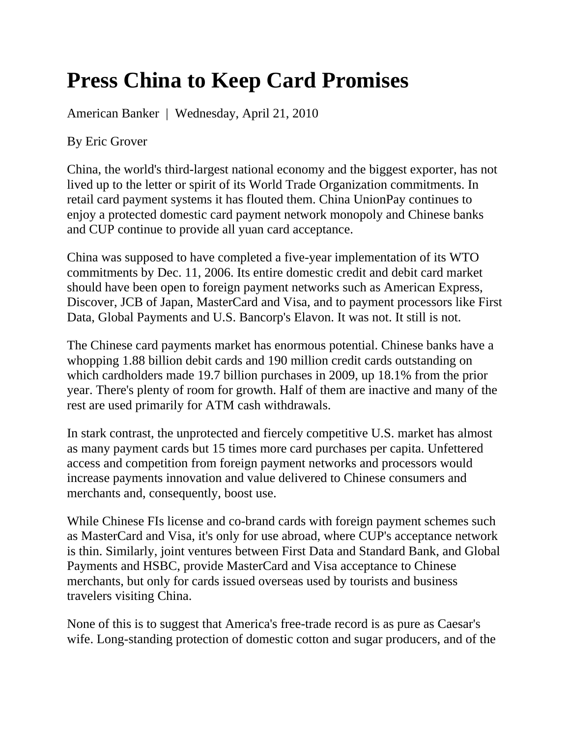## **Press China to Keep Card Promises**

American Banker | Wednesday, April 21, 2010

By Eric Grover

China, the world's third-largest national economy and the biggest exporter, has not lived up to the letter or spirit of its World Trade Organization commitments. In retail card payment systems it has flouted them. China UnionPay continues to enjoy a protected domestic card payment network monopoly and Chinese banks and CUP continue to provide all yuan card acceptance.

China was supposed to have completed a five-year implementation of its WTO commitments by Dec. 11, 2006. Its entire domestic credit and debit card market should have been open to foreign payment networks such as American Express, Discover, JCB of Japan, MasterCard and Visa, and to payment processors like First Data, Global Payments and U.S. Bancorp's Elavon. It was not. It still is not.

The Chinese card payments market has enormous potential. Chinese banks have a whopping 1.88 billion debit cards and 190 million credit cards outstanding on which cardholders made 19.7 billion purchases in 2009, up 18.1% from the prior year. There's plenty of room for growth. Half of them are inactive and many of the rest are used primarily for ATM cash withdrawals.

In stark contrast, the unprotected and fiercely competitive U.S. market has almost as many payment cards but 15 times more card purchases per capita. Unfettered access and competition from foreign payment networks and processors would increase payments innovation and value delivered to Chinese consumers and merchants and, consequently, boost use.

While Chinese FIs license and co-brand cards with foreign payment schemes such as MasterCard and Visa, it's only for use abroad, where CUP's acceptance network is thin. Similarly, joint ventures between First Data and Standard Bank, and Global Payments and HSBC, provide MasterCard and Visa acceptance to Chinese merchants, but only for cards issued overseas used by tourists and business travelers visiting China.

None of this is to suggest that America's free-trade record is as pure as Caesar's wife. Long-standing protection of domestic cotton and sugar producers, and of the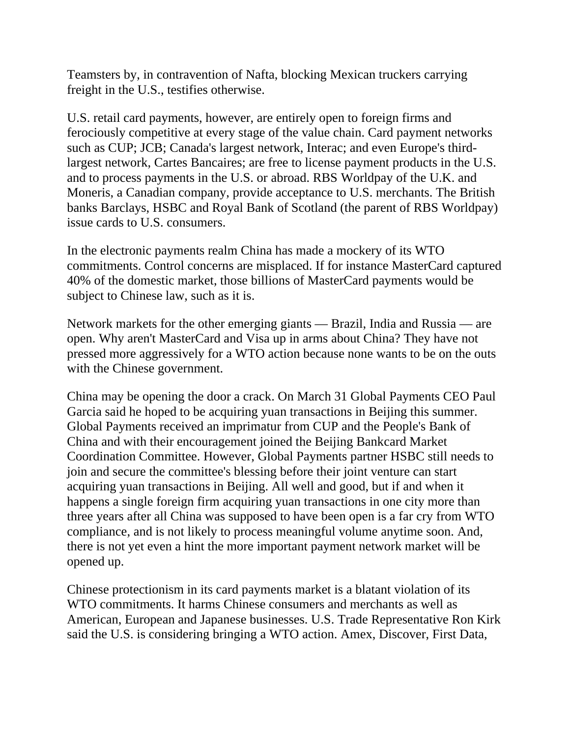Teamsters by, in contravention of Nafta, blocking Mexican truckers carrying freight in the U.S., testifies otherwise.

U.S. retail card payments, however, are entirely open to foreign firms and ferociously competitive at every stage of the value chain. Card payment networks such as CUP; JCB; Canada's largest network, Interac; and even Europe's thirdlargest network, Cartes Bancaires; are free to license payment products in the U.S. and to process payments in the U.S. or abroad. RBS Worldpay of the U.K. and Moneris, a Canadian company, provide acceptance to U.S. merchants. The British banks Barclays, HSBC and Royal Bank of Scotland (the parent of RBS Worldpay) issue cards to U.S. consumers.

In the electronic payments realm China has made a mockery of its WTO commitments. Control concerns are misplaced. If for instance MasterCard captured 40% of the domestic market, those billions of MasterCard payments would be subject to Chinese law, such as it is.

Network markets for the other emerging giants — Brazil, India and Russia — are open. Why aren't MasterCard and Visa up in arms about China? They have not pressed more aggressively for a WTO action because none wants to be on the outs with the Chinese government.

China may be opening the door a crack. On March 31 Global Payments CEO Paul Garcia said he hoped to be acquiring yuan transactions in Beijing this summer. Global Payments received an imprimatur from CUP and the People's Bank of China and with their encouragement joined the Beijing Bankcard Market Coordination Committee. However, Global Payments partner HSBC still needs to join and secure the committee's blessing before their joint venture can start acquiring yuan transactions in Beijing. All well and good, but if and when it happens a single foreign firm acquiring yuan transactions in one city more than three years after all China was supposed to have been open is a far cry from WTO compliance, and is not likely to process meaningful volume anytime soon. And, there is not yet even a hint the more important payment network market will be opened up.

Chinese protectionism in its card payments market is a blatant violation of its WTO commitments. It harms Chinese consumers and merchants as well as American, European and Japanese businesses. U.S. Trade Representative Ron Kirk said the U.S. is considering bringing a WTO action. Amex, Discover, First Data,